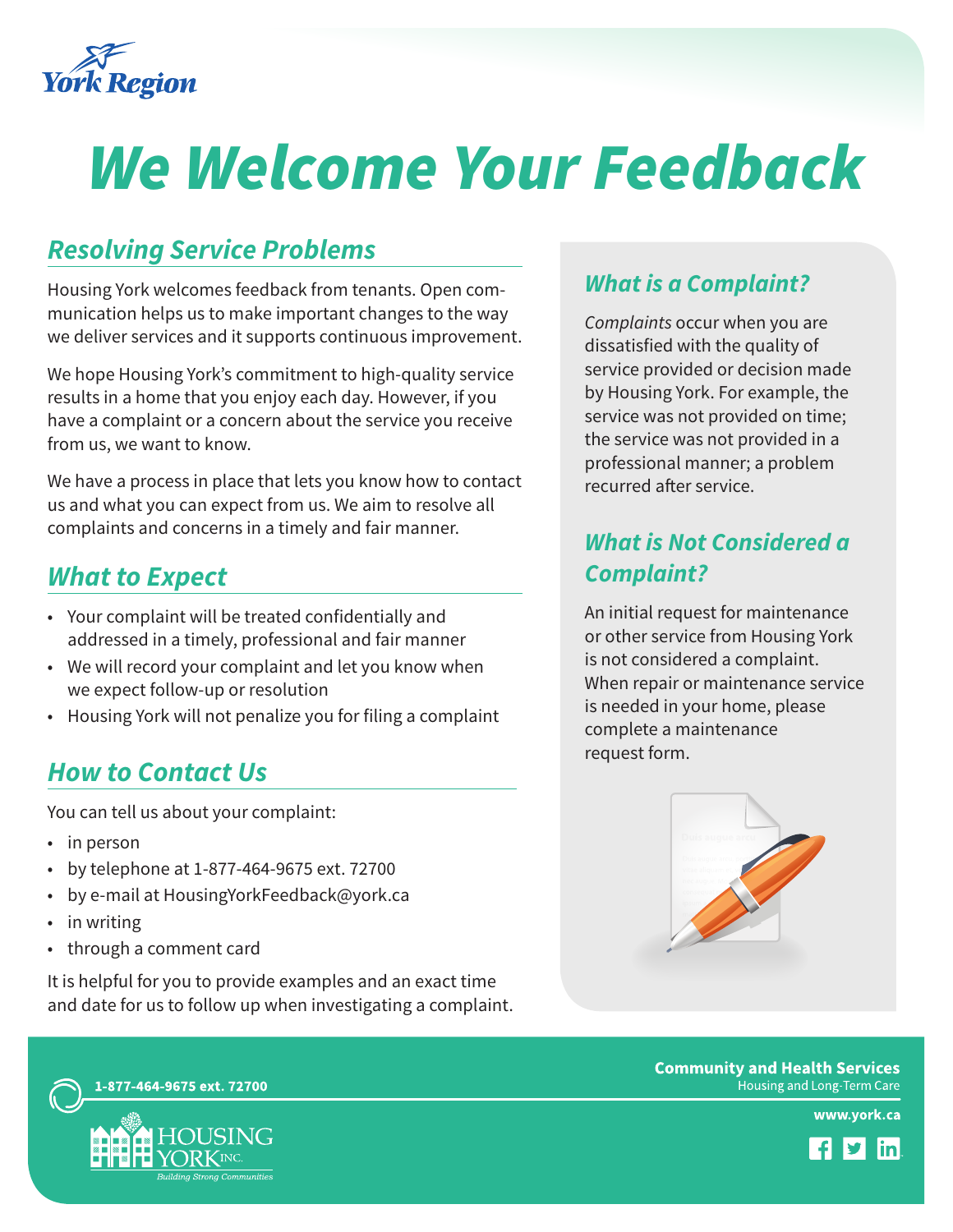

# *We Welcome Your Feedback*

# *Resolving Service Problems*

Housing York welcomes feedback from tenants. Open communication helps us to make important changes to the way we deliver services and it supports continuous improvement.

We hope Housing York's commitment to high-quality service results in a home that you enjoy each day. However, if you have a complaint or a concern about the service you receive from us, we want to know.

We have a process in place that lets you know how to contact us and what you can expect from us. We aim to resolve all complaints and concerns in a timely and fair manner.

### *What to Expect*

- • Your complaint will be treated confidentially and addressed in a timely, professional and fair manner
- We will record your complaint and let you know when we expect follow-up or resolution
- Housing York will not penalize you for filing a complaint

### *How to Contact Us*

You can tell us about your complaint:

- in person
- • by telephone at 1-877-464-9675 ext. 72700
- by e-mail at HousingYorkFeedback@york.ca
- in writing
- • through a comment card

It is helpful for you to provide examples and an exact time and date for us to follow up when investigating a complaint.

#### *What is a Complaint?*

*Complaints* occur when you are dissatisfied with the quality of service provided or decision made by Housing York. For example, the service was not provided on time; the service was not provided in a professional manner; a problem recurred after service.

### *What is Not Considered a Complaint?*

An initial request for maintenance or other service from Housing York is not considered a complaint. When repair or maintenance service is needed in your home, please complete a maintenance request form.



**Community and Health Services** Housing and Long-Term Care

www.york.ca



1-877-464-9675 ext. 72700